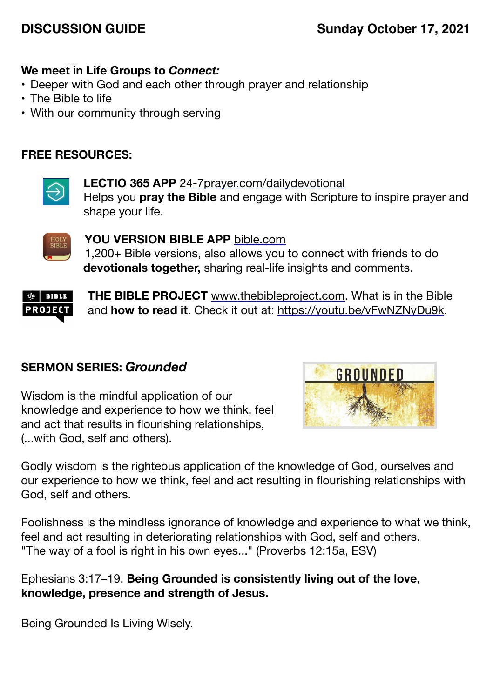# **DISCUSSION GUIDE Sunday October 17, 2021**

## **We meet in Life Groups to** *Connect:*

- Deeper with God and each other through prayer and relationship
- The Bible to life
- With our community through serving

## **FREE RESOURCES:**



**LECTIO 365 APP** [24-7prayer.com/dailydevotional](http://24-7prayer.com/dailydevotional) Helps you **pray the Bible** and engage with Scripture to inspire prayer and shape your life.



**YOU VERSION BIBLE APP** [bible.com](http://bible.com) 1,200+ Bible versions, also allows you to connect with friends to do **devotionals together,** sharing real-life insights and comments.



**THE BIBLE PROJECT** [www.thebibleproject.com.](http://www.thebibleproject.com) What is in the Bible and **how to read it**. Check it out at:<https://youtu.be/vFwNZNyDu9k>.

### **SERMON SERIES:** *Grounded*

Wisdom is the mindful application of our knowledge and experience to how we think, feel and act that results in flourishing relationships, (...with God, self and others).



Godly wisdom is the righteous application of the knowledge of God, ourselves and our experience to how we think, feel and act resulting in flourishing relationships with God, self and others.

Foolishness is the mindless ignorance of knowledge and experience to what we think, feel and act resulting in deteriorating relationships with God, self and others. "The way of a fool is right in his own eyes..." (Proverbs 12:15a, ESV)

Ephesians 3:17–19. **Being Grounded is consistently living out of the love, knowledge, presence and strength of Jesus.**

Being Grounded Is Living Wisely.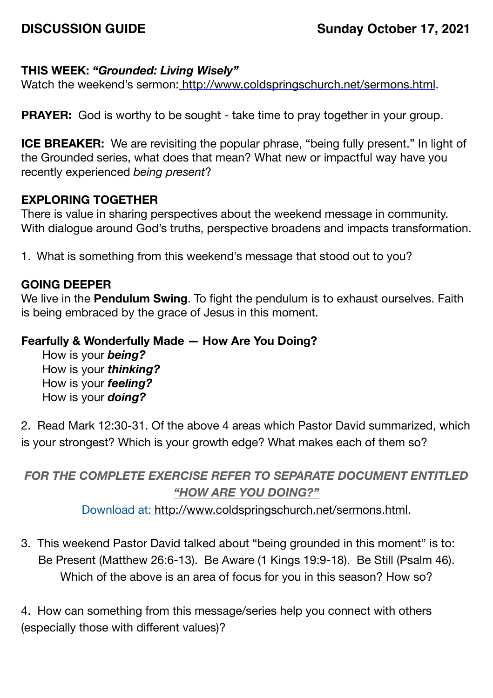### **THIS WEEK:** *"Grounded: Living Wisely"*

Watch the weekend's sermon: <http://www.coldspringschurch.net/sermons.html>.

**PRAYER:** God is worthy to be sought - take time to pray together in your group.

**ICE BREAKER:** We are revisiting the popular phrase, "being fully present." In light of the Grounded series, what does that mean? What new or impactful way have you recently experienced *being present*?

### **EXPLORING TOGETHER**

There is value in sharing perspectives about the weekend message in community. With dialogue around God's truths, perspective broadens and impacts transformation.

1. What is something from this weekend's message that stood out to you?

#### **GOING DEEPER**

We live in the **Pendulum Swing**. To fight the pendulum is to exhaust ourselves. Faith is being embraced by the grace of Jesus in this moment.

#### **Fearfully & Wonderfully Made — How Are You Doing?**

How is your *being?* How is your *thinking?*  How is your *feeling?*  How is your *doing?* 

2. Read Mark 12:30-31. Of the above 4 areas which Pastor David summarized, which is your strongest? Which is your growth edge? What makes each of them so?

## *FOR THE COMPLETE EXERCISE REFER TO SEPARATE DOCUMENT ENTITLED "HOW ARE YOU DOING?"*

Download at: [http://www.coldspringschurch.net/sermons.html.](http://www.coldspringschurch.net/sermons.html)

3. This weekend Pastor David talked about "being grounded in this moment" is to: Be Present (Matthew 26:6-13). Be Aware (1 Kings 19:9-18). Be Still (Psalm 46). Which of the above is an area of focus for you in this season? How so?

4. How can something from this message/series help you connect with others (especially those with different values)?